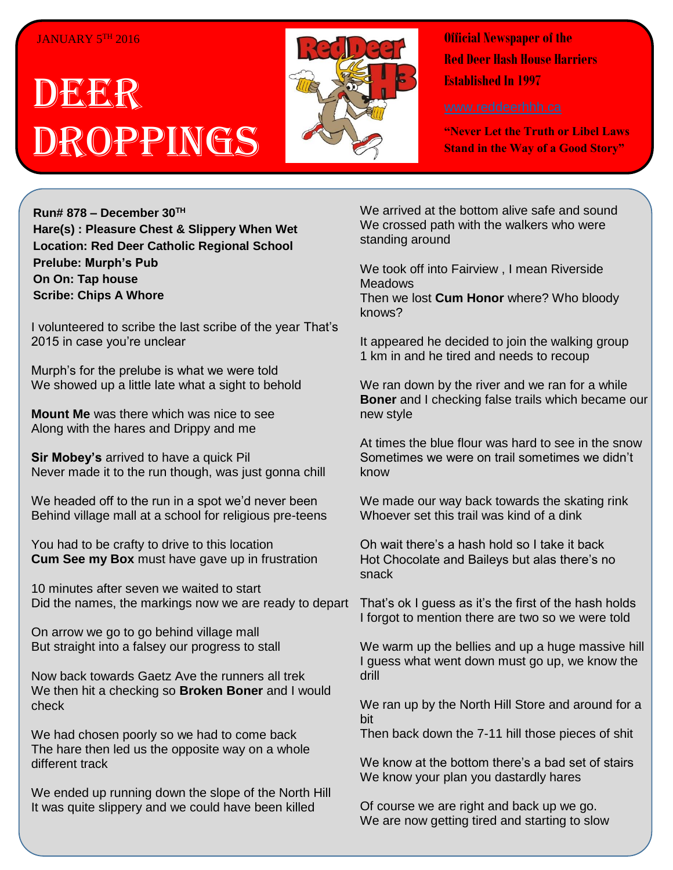## JANUARY 5TH 2016

## DEER Droppings



**Official Newspaper of the Red Deer Hash House Harriers Established In 1997** 

**"Never Let the Truth or Libel Laws Stand in the Way of a Good Story"**

**Run# 878 – December 30TH Hare(s) : Pleasure Chest & Slippery When Wet Location: Red Deer Catholic Regional School Prelube: Murph's Pub On On: Tap house Scribe: Chips A Whore**

I volunteered to scribe the last scribe of the year That's 2015 in case you're unclear

Murph's for the prelube is what we were told We showed up a little late what a sight to behold

**Mount Me** was there which was nice to see Along with the hares and Drippy and me

**Sir Mobey's** arrived to have a quick Pil Never made it to the run though, was just gonna chill

We headed off to the run in a spot we'd never been Behind village mall at a school for religious pre-teens

You had to be crafty to drive to this location **Cum See my Box** must have gave up in frustration

10 minutes after seven we waited to start Did the names, the markings now we are ready to depart

On arrow we go to go behind village mall But straight into a falsey our progress to stall

Now back towards Gaetz Ave the runners all trek We then hit a checking so **Broken Boner** and I would check

We had chosen poorly so we had to come back The hare then led us the opposite way on a whole different track

We ended up running down the slope of the North Hill It was quite slippery and we could have been killed

We arrived at the bottom alive safe and sound We crossed path with the walkers who were standing around

We took off into Fairview , I mean Riverside **Meadows** 

Then we lost **Cum Honor** where? Who bloody knows?

It appeared he decided to join the walking group 1 km in and he tired and needs to recoup

We ran down by the river and we ran for a while **Boner** and I checking false trails which became our new style

At times the blue flour was hard to see in the snow Sometimes we were on trail sometimes we didn't know

We made our way back towards the skating rink Whoever set this trail was kind of a dink

Oh wait there's a hash hold so I take it back Hot Chocolate and Baileys but alas there's no snack

That's ok I guess as it's the first of the hash holds I forgot to mention there are two so we were told

We warm up the bellies and up a huge massive hill I guess what went down must go up, we know the drill

We ran up by the North Hill Store and around for a bit

Then back down the 7-11 hill those pieces of shit

We know at the bottom there's a bad set of stairs We know your plan you dastardly hares

Of course we are right and back up we go. We are now getting tired and starting to slow